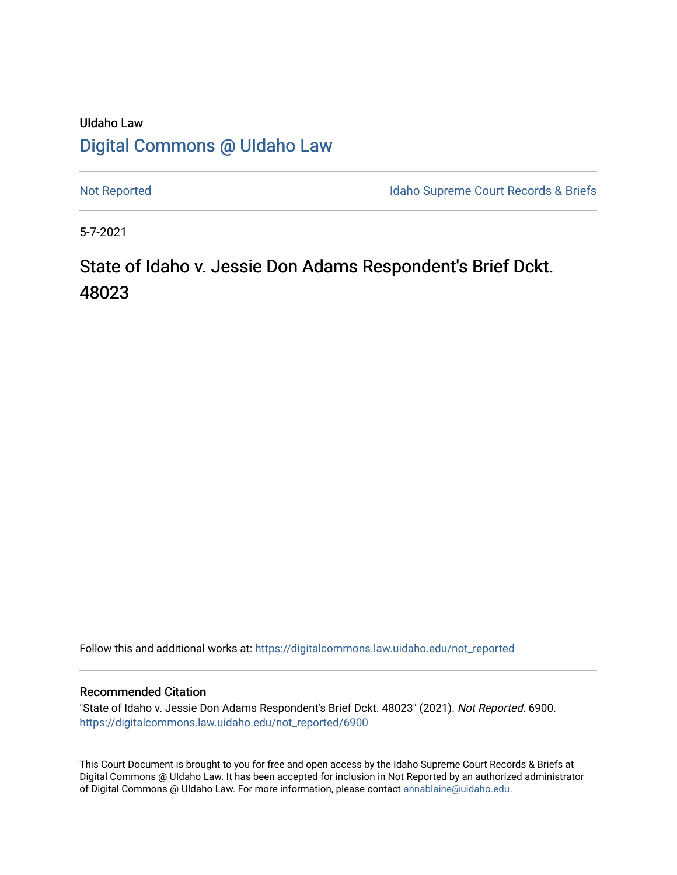## UIdaho Law [Digital Commons @ UIdaho Law](https://digitalcommons.law.uidaho.edu/)

[Not Reported](https://digitalcommons.law.uidaho.edu/not_reported) **Idaho Supreme Court Records & Briefs** 

5-7-2021

# State of Idaho v. Jessie Don Adams Respondent's Brief Dckt. 48023

Follow this and additional works at: [https://digitalcommons.law.uidaho.edu/not\\_reported](https://digitalcommons.law.uidaho.edu/not_reported?utm_source=digitalcommons.law.uidaho.edu%2Fnot_reported%2F6900&utm_medium=PDF&utm_campaign=PDFCoverPages) 

#### Recommended Citation

"State of Idaho v. Jessie Don Adams Respondent's Brief Dckt. 48023" (2021). Not Reported. 6900. [https://digitalcommons.law.uidaho.edu/not\\_reported/6900](https://digitalcommons.law.uidaho.edu/not_reported/6900?utm_source=digitalcommons.law.uidaho.edu%2Fnot_reported%2F6900&utm_medium=PDF&utm_campaign=PDFCoverPages)

This Court Document is brought to you for free and open access by the Idaho Supreme Court Records & Briefs at Digital Commons @ UIdaho Law. It has been accepted for inclusion in Not Reported by an authorized administrator of Digital Commons @ UIdaho Law. For more information, please contact [annablaine@uidaho.edu](mailto:annablaine@uidaho.edu).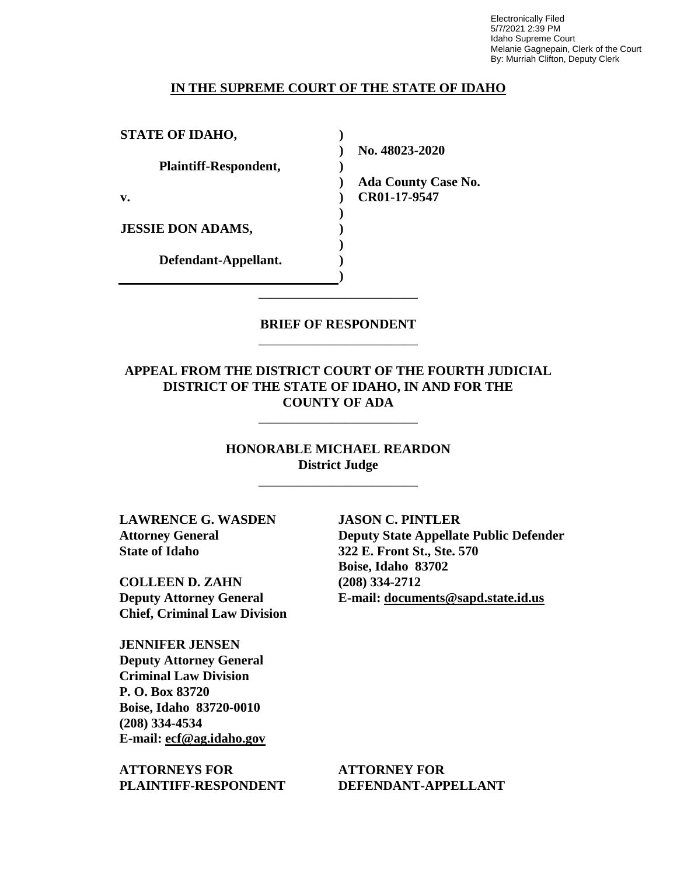Electronically Filed 5/7/2021 2:39 PM Idaho Supreme Court Melanie Gagnepain, Clerk of the Court By: Murriah Clifton, Deputy Clerk

#### **IN THE SUPREME COURT OF THE STATE OF IDAHO**

| <b>STATE OF IDAHO,</b>       |                            |
|------------------------------|----------------------------|
|                              | No. 48023-2020             |
| <b>Plaintiff-Respondent,</b> |                            |
|                              | <b>Ada County Case No.</b> |
| v.                           | CR01-17-9547               |
|                              |                            |
| <b>JESSIE DON ADAMS,</b>     |                            |
|                              |                            |
| Defendant-Appellant.         |                            |
|                              |                            |

### **BRIEF OF RESPONDENT** \_\_\_\_\_\_\_\_\_\_\_\_\_\_\_\_\_\_\_\_\_\_\_\_

\_\_\_\_\_\_\_\_\_\_\_\_\_\_\_\_\_\_\_\_\_\_\_\_

## **APPEAL FROM THE DISTRICT COURT OF THE FOURTH JUDICIAL DISTRICT OF THE STATE OF IDAHO, IN AND FOR THE COUNTY OF ADA**

\_\_\_\_\_\_\_\_\_\_\_\_\_\_\_\_\_\_\_\_\_\_\_\_

**HONORABLE MICHAEL REARDON District Judge**

\_\_\_\_\_\_\_\_\_\_\_\_\_\_\_\_\_\_\_\_\_\_\_\_

**LAWRENCE G. WASDEN Attorney General State of Idaho**

**COLLEEN D. ZAHN Deputy Attorney General Chief, Criminal Law Division**

**JENNIFER JENSEN Deputy Attorney General Criminal Law Division P. O. Box 83720 Boise, Idaho 83720-0010 (208) 334-4534 E-mail: ecf@ag.idaho.gov** 

**ATTORNEYS FOR PLAINTIFF-RESPONDENT**

**JASON C. PINTLER Deputy State Appellate Public Defender 322 E. Front St., Ste. 570 Boise, Idaho 83702 (208) 334-2712 E-mail: documents@sapd.state.id.us** 

**ATTORNEY FOR DEFENDANT-APPELLANT**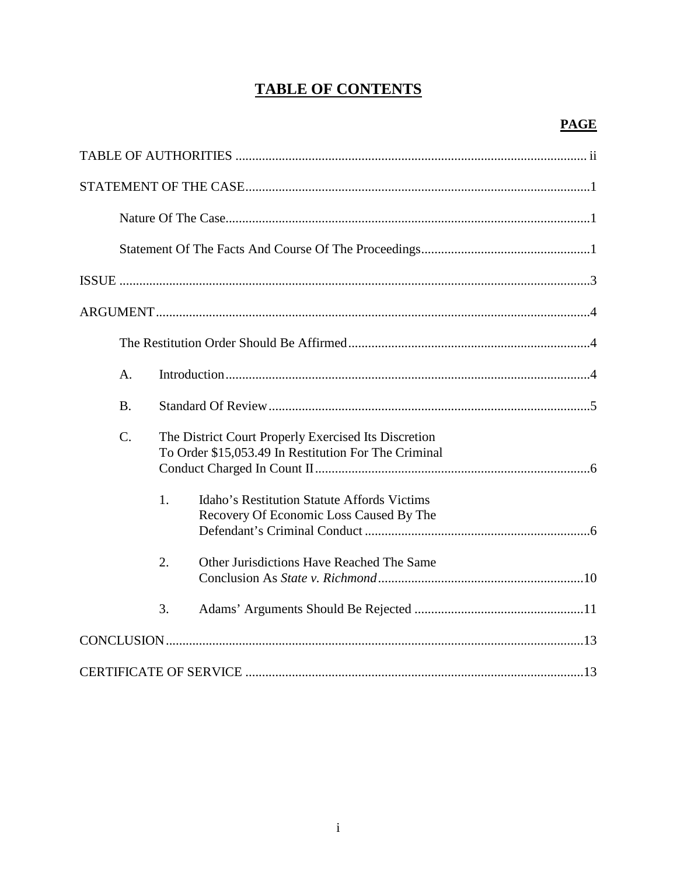## **TABLE OF CONTENTS**

| $A_{\cdot}$                                                                                                                     |
|---------------------------------------------------------------------------------------------------------------------------------|
| <b>B.</b>                                                                                                                       |
| $\mathcal{C}$ .<br>The District Court Properly Exercised Its Discretion<br>To Order \$15,053.49 In Restitution For The Criminal |
| 1.<br>Idaho's Restitution Statute Affords Victims<br>Recovery Of Economic Loss Caused By The                                    |
| 2.<br>Other Jurisdictions Have Reached The Same                                                                                 |
| 3.                                                                                                                              |
|                                                                                                                                 |
|                                                                                                                                 |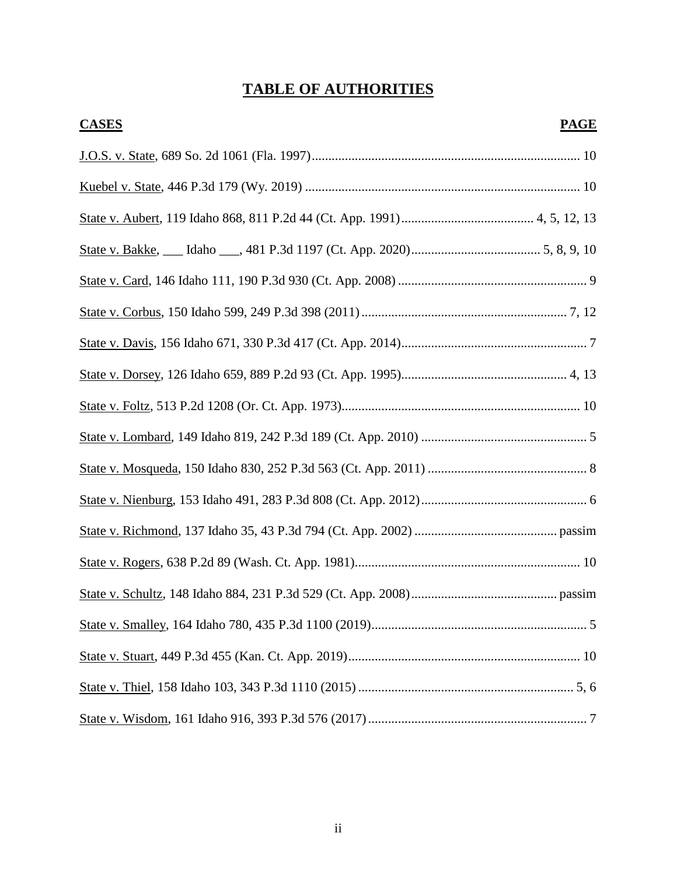## **TABLE OF AUTHORITIES**

| <b>CASES</b> | <b>PAGE</b> |
|--------------|-------------|
|              |             |
|              |             |
|              |             |
|              |             |
|              |             |
|              |             |
|              |             |
|              |             |
|              |             |
|              |             |
|              |             |
|              |             |
|              |             |
|              |             |
|              |             |
|              |             |
|              |             |
|              |             |
|              |             |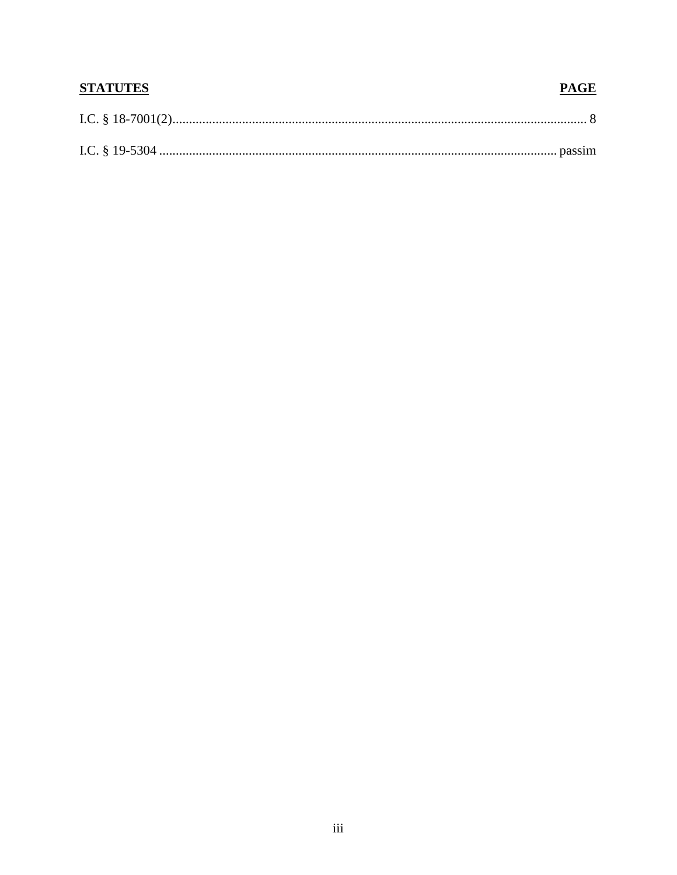| <b>STATUTES</b> | <b>PAGE</b> |
|-----------------|-------------|
|                 |             |
|                 |             |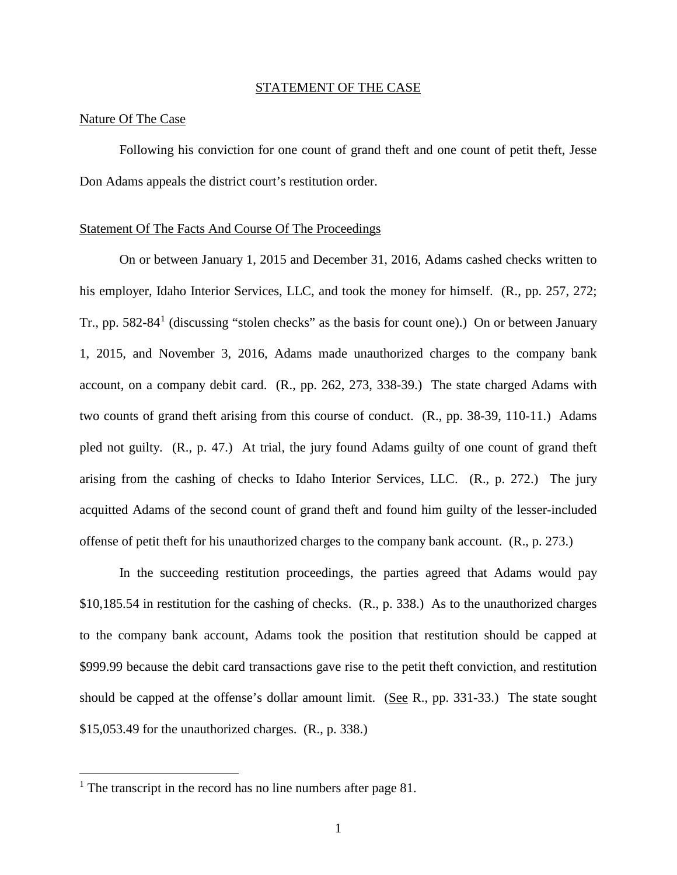#### STATEMENT OF THE CASE

#### Nature Of The Case

Following his conviction for one count of grand theft and one count of petit theft, Jesse Don Adams appeals the district court's restitution order.

#### Statement Of The Facts And Course Of The Proceedings

On or between January 1, 2015 and December 31, 2016, Adams cashed checks written to his employer, Idaho Interior Services, LLC, and took the money for himself. (R., pp. 257, 272; Tr., pp. 582-84<sup>[1](#page-5-0)</sup> (discussing "stolen checks" as the basis for count one).) On or between January 1, 2015, and November 3, 2016, Adams made unauthorized charges to the company bank account, on a company debit card. (R., pp. 262, 273, 338-39.) The state charged Adams with two counts of grand theft arising from this course of conduct. (R., pp. 38-39, 110-11.) Adams pled not guilty. (R., p. 47.) At trial, the jury found Adams guilty of one count of grand theft arising from the cashing of checks to Idaho Interior Services, LLC. (R., p. 272.) The jury acquitted Adams of the second count of grand theft and found him guilty of the lesser-included offense of petit theft for his unauthorized charges to the company bank account. (R., p. 273.)

In the succeeding restitution proceedings, the parties agreed that Adams would pay \$10,185.54 in restitution for the cashing of checks. (R., p. 338.) As to the unauthorized charges to the company bank account, Adams took the position that restitution should be capped at \$999.99 because the debit card transactions gave rise to the petit theft conviction, and restitution should be capped at the offense's dollar amount limit. (See R., pp. 331-33.) The state sought \$15,053.49 for the unauthorized charges. (R., p. 338.)

 $\overline{a}$ 

<span id="page-5-0"></span><sup>&</sup>lt;sup>1</sup> The transcript in the record has no line numbers after page 81.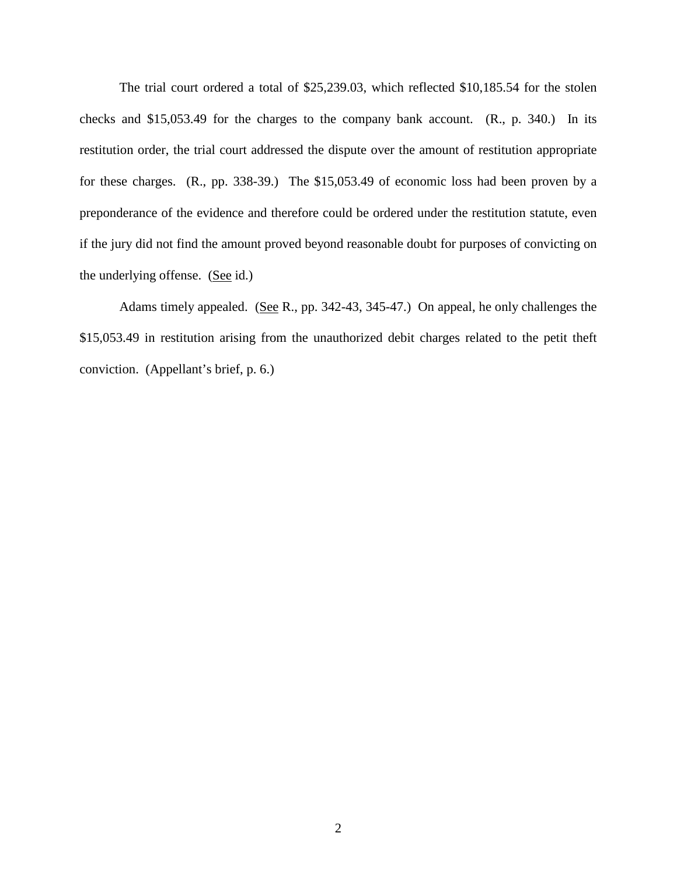The trial court ordered a total of \$25,239.03, which reflected \$10,185.54 for the stolen checks and \$15,053.49 for the charges to the company bank account. (R., p. 340.) In its restitution order, the trial court addressed the dispute over the amount of restitution appropriate for these charges. (R., pp. 338-39.) The \$15,053.49 of economic loss had been proven by a preponderance of the evidence and therefore could be ordered under the restitution statute, even if the jury did not find the amount proved beyond reasonable doubt for purposes of convicting on the underlying offense. (See id.)

Adams timely appealed. (See R., pp. 342-43, 345-47.) On appeal, he only challenges the \$15,053.49 in restitution arising from the unauthorized debit charges related to the petit theft conviction. (Appellant's brief, p. 6.)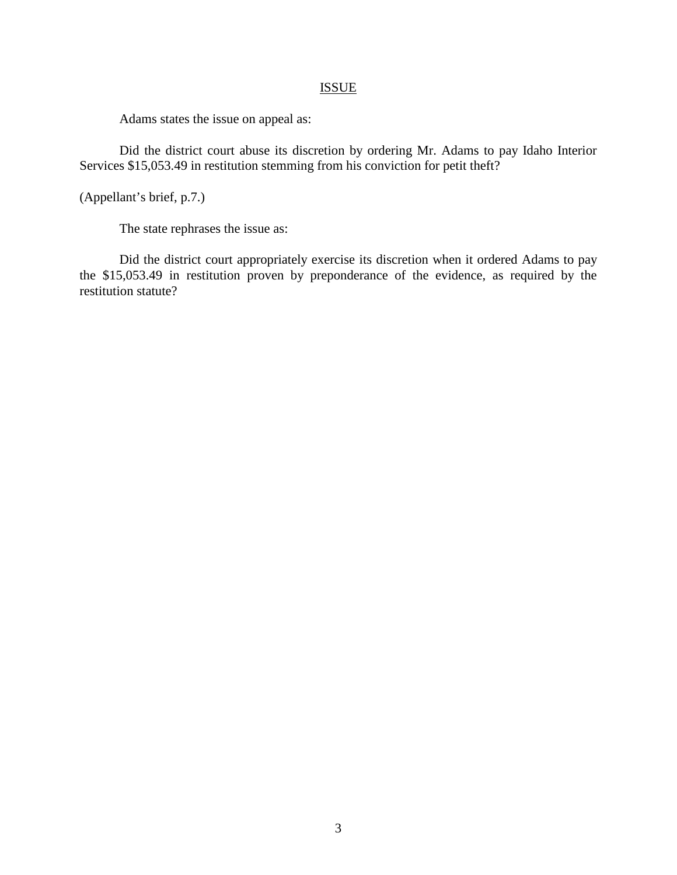## ISSUE

Adams states the issue on appeal as:

Did the district court abuse its discretion by ordering Mr. Adams to pay Idaho Interior Services \$15,053.49 in restitution stemming from his conviction for petit theft?

(Appellant's brief, p.7.)

The state rephrases the issue as:

Did the district court appropriately exercise its discretion when it ordered Adams to pay the \$15,053.49 in restitution proven by preponderance of the evidence, as required by the restitution statute?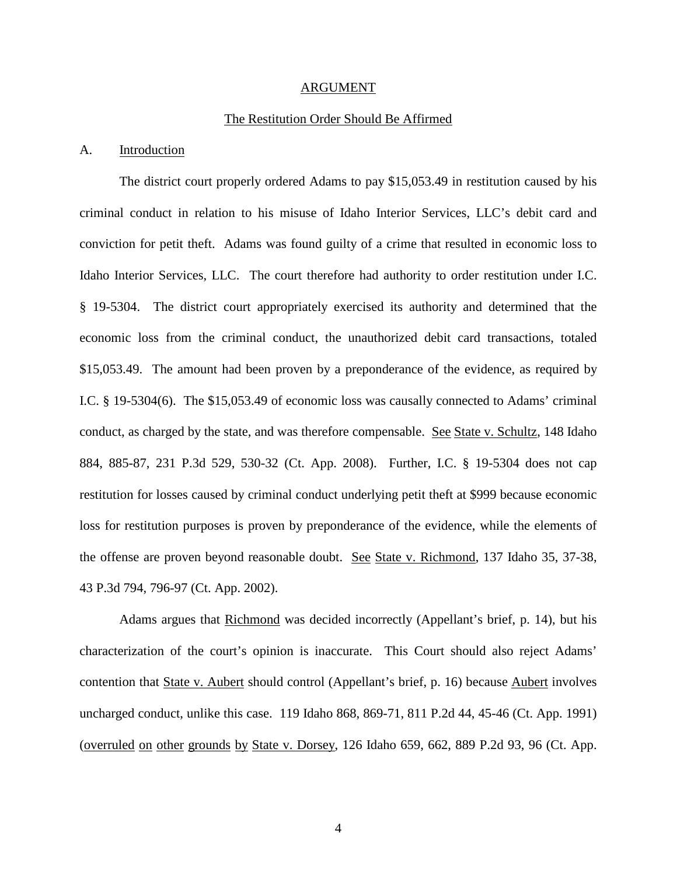#### ARGUMENT

#### The Restitution Order Should Be Affirmed

#### A. Introduction

The district court properly ordered Adams to pay \$15,053.49 in restitution caused by his criminal conduct in relation to his misuse of Idaho Interior Services, LLC's debit card and conviction for petit theft. Adams was found guilty of a crime that resulted in economic loss to Idaho Interior Services, LLC. The court therefore had authority to order restitution under I.C. § 19-5304. The district court appropriately exercised its authority and determined that the economic loss from the criminal conduct, the unauthorized debit card transactions, totaled \$15,053.49. The amount had been proven by a preponderance of the evidence, as required by I.C. § 19-5304(6). The \$15,053.49 of economic loss was causally connected to Adams' criminal conduct, as charged by the state, and was therefore compensable. See State v. Schultz, 148 Idaho 884, 885-87, 231 P.3d 529, 530-32 (Ct. App. 2008). Further, I.C. § 19-5304 does not cap restitution for losses caused by criminal conduct underlying petit theft at \$999 because economic loss for restitution purposes is proven by preponderance of the evidence, while the elements of the offense are proven beyond reasonable doubt. See State v. Richmond, 137 Idaho 35, 37-38, 43 P.3d 794, 796-97 (Ct. App. 2002).

Adams argues that Richmond was decided incorrectly (Appellant's brief, p. 14), but his characterization of the court's opinion is inaccurate. This Court should also reject Adams' contention that State v. Aubert should control (Appellant's brief, p. 16) because Aubert involves uncharged conduct, unlike this case. 119 Idaho 868, 869-71, 811 P.2d 44, 45-46 (Ct. App. 1991) (overruled on other grounds by State v. Dorsey,  $126$  Idaho  $659, 662, 889$  P.2d  $93, 96$  (Ct. App.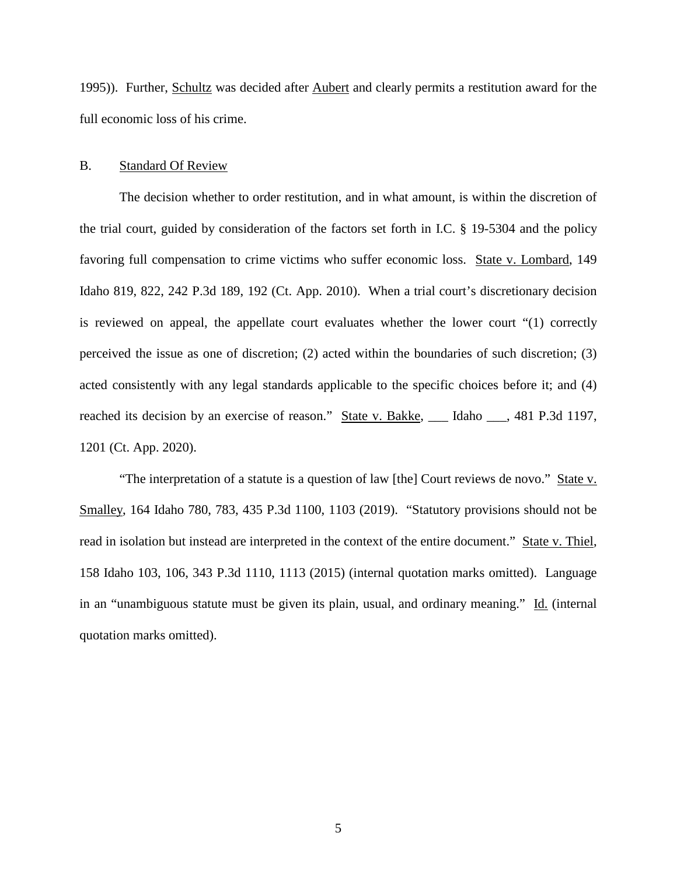1995)). Further, Schultz was decided after Aubert and clearly permits a restitution award for the full economic loss of his crime.

#### B. Standard Of Review

The decision whether to order restitution, and in what amount, is within the discretion of the trial court, guided by consideration of the factors set forth in I.C. § 19-5304 and the policy favoring full compensation to crime victims who suffer economic loss. State v. Lombard, 149 Idaho 819, 822, 242 P.3d 189, 192 (Ct. App. 2010). When a trial court's discretionary decision is reviewed on appeal, the appellate court evaluates whether the lower court "(1) correctly perceived the issue as one of discretion; (2) acted within the boundaries of such discretion; (3) acted consistently with any legal standards applicable to the specific choices before it; and (4) reached its decision by an exercise of reason." State v. Bakke, \_\_\_ Idaho \_\_\_, 481 P.3d 1197, 1201 (Ct. App. 2020).

"The interpretation of a statute is a question of law [the] Court reviews de novo." State v. Smalley, 164 Idaho 780, 783, 435 P.3d 1100, 1103 (2019). "Statutory provisions should not be read in isolation but instead are interpreted in the context of the entire document." State v. Thiel, 158 Idaho 103, 106, 343 P.3d 1110, 1113 (2015) (internal quotation marks omitted). Language in an "unambiguous statute must be given its plain, usual, and ordinary meaning." Id. (internal quotation marks omitted).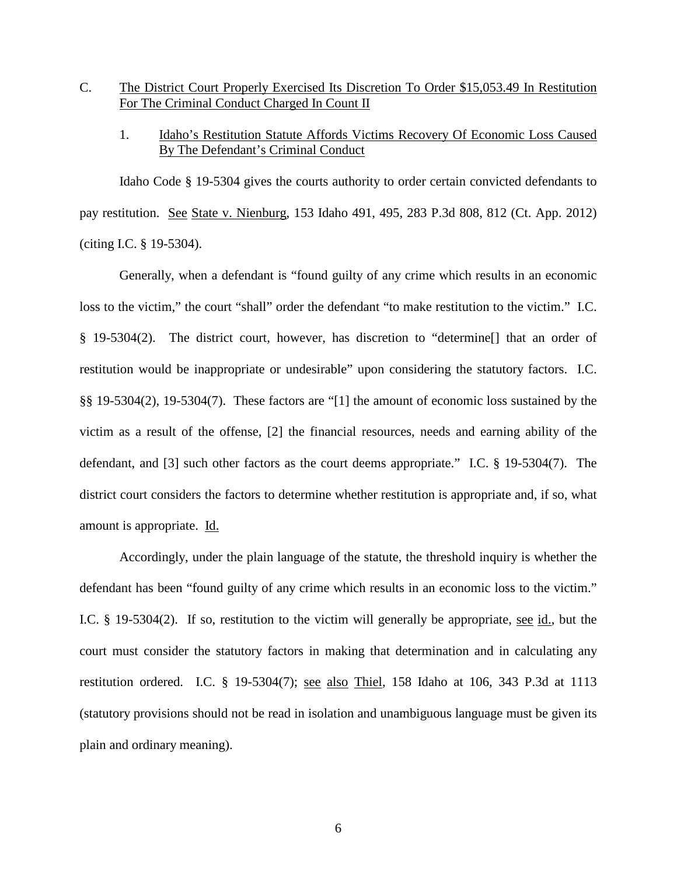## C. The District Court Properly Exercised Its Discretion To Order \$15,053.49 In Restitution For The Criminal Conduct Charged In Count II

## 1. Idaho's Restitution Statute Affords Victims Recovery Of Economic Loss Caused By The Defendant's Criminal Conduct

Idaho Code § 19-5304 gives the courts authority to order certain convicted defendants to pay restitution. See State v. Nienburg, 153 Idaho 491, 495, 283 P.3d 808, 812 (Ct. App. 2012) (citing I.C. § 19-5304).

Generally, when a defendant is "found guilty of any crime which results in an economic loss to the victim," the court "shall" order the defendant "to make restitution to the victim." I.C. § 19-5304(2). The district court, however, has discretion to "determine[] that an order of restitution would be inappropriate or undesirable" upon considering the statutory factors. I.C. §§ 19-5304(2), 19-5304(7). These factors are "[1] the amount of economic loss sustained by the victim as a result of the offense, [2] the financial resources, needs and earning ability of the defendant, and [3] such other factors as the court deems appropriate." I.C. § 19-5304(7). The district court considers the factors to determine whether restitution is appropriate and, if so, what amount is appropriate. Id.

Accordingly, under the plain language of the statute, the threshold inquiry is whether the defendant has been "found guilty of any crime which results in an economic loss to the victim." I.C. § 19-5304(2). If so, restitution to the victim will generally be appropriate, <u>see id.</u>, but the court must consider the statutory factors in making that determination and in calculating any restitution ordered. I.C. § 19-5304(7); see also Thiel, 158 Idaho at 106, 343 P.3d at 1113 (statutory provisions should not be read in isolation and unambiguous language must be given its plain and ordinary meaning).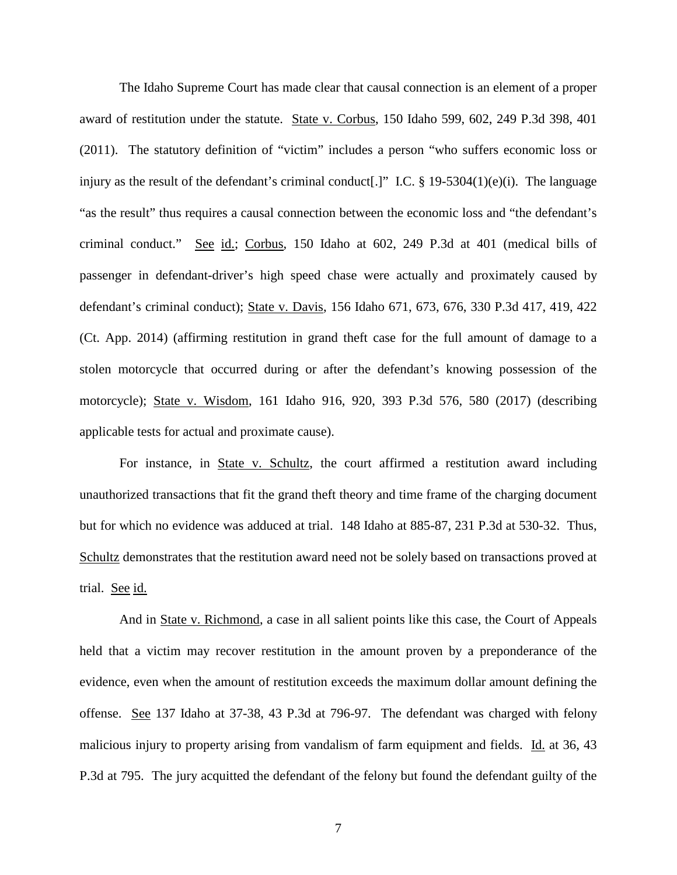The Idaho Supreme Court has made clear that causal connection is an element of a proper award of restitution under the statute. State v. Corbus, 150 Idaho 599, 602, 249 P.3d 398, 401 (2011). The statutory definition of "victim" includes a person "who suffers economic loss or injury as the result of the defendant's criminal conduct[.]" I.C. § 19-5304(1)(e)(i). The language "as the result" thus requires a causal connection between the economic loss and "the defendant's criminal conduct." See id.; Corbus, 150 Idaho at 602, 249 P.3d at 401 (medical bills of passenger in defendant-driver's high speed chase were actually and proximately caused by defendant's criminal conduct); State v. Davis, 156 Idaho 671, 673, 676, 330 P.3d 417, 419, 422 (Ct. App. 2014) (affirming restitution in grand theft case for the full amount of damage to a stolen motorcycle that occurred during or after the defendant's knowing possession of the motorcycle); State v. Wisdom, 161 Idaho 916, 920, 393 P.3d 576, 580 (2017) (describing applicable tests for actual and proximate cause).

For instance, in State v. Schultz, the court affirmed a restitution award including unauthorized transactions that fit the grand theft theory and time frame of the charging document but for which no evidence was adduced at trial. 148 Idaho at 885-87, 231 P.3d at 530-32. Thus, Schultz demonstrates that the restitution award need not be solely based on transactions proved at trial. See id.

And in State v. Richmond, a case in all salient points like this case, the Court of Appeals held that a victim may recover restitution in the amount proven by a preponderance of the evidence, even when the amount of restitution exceeds the maximum dollar amount defining the offense. See 137 Idaho at 37-38, 43 P.3d at 796-97. The defendant was charged with felony malicious injury to property arising from vandalism of farm equipment and fields. Id. at 36, 43 P.3d at 795. The jury acquitted the defendant of the felony but found the defendant guilty of the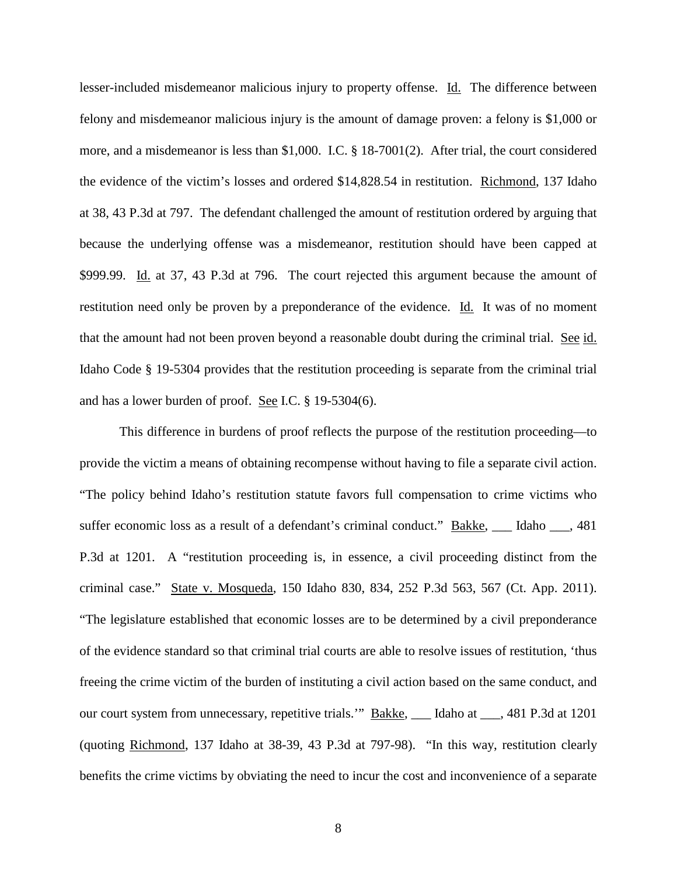lesser-included misdemeanor malicious injury to property offense. Id. The difference between felony and misdemeanor malicious injury is the amount of damage proven: a felony is \$1,000 or more, and a misdemeanor is less than \$1,000. I.C. § 18-7001(2). After trial, the court considered the evidence of the victim's losses and ordered \$14,828.54 in restitution. Richmond, 137 Idaho at 38, 43 P.3d at 797. The defendant challenged the amount of restitution ordered by arguing that because the underlying offense was a misdemeanor, restitution should have been capped at \$999.99. Id. at 37, 43 P.3d at 796. The court rejected this argument because the amount of restitution need only be proven by a preponderance of the evidence. Id. It was of no moment that the amount had not been proven beyond a reasonable doubt during the criminal trial. See id. Idaho Code § 19-5304 provides that the restitution proceeding is separate from the criminal trial and has a lower burden of proof. See I.C. § 19-5304(6).

This difference in burdens of proof reflects the purpose of the restitution proceeding—to provide the victim a means of obtaining recompense without having to file a separate civil action. "The policy behind Idaho's restitution statute favors full compensation to crime victims who suffer economic loss as a result of a defendant's criminal conduct." Bakke, \_\_\_ Idaho \_\_\_, 481 P.3d at 1201. A "restitution proceeding is, in essence, a civil proceeding distinct from the criminal case." State v. Mosqueda, 150 Idaho 830, 834, 252 P.3d 563, 567 (Ct. App. 2011). "The legislature established that economic losses are to be determined by a civil preponderance of the evidence standard so that criminal trial courts are able to resolve issues of restitution, 'thus freeing the crime victim of the burden of instituting a civil action based on the same conduct, and our court system from unnecessary, repetitive trials.'" Bakke, \_\_\_ Idaho at \_\_\_, 481 P.3d at 1201 (quoting Richmond, 137 Idaho at 38-39, 43 P.3d at 797-98). "In this way, restitution clearly benefits the crime victims by obviating the need to incur the cost and inconvenience of a separate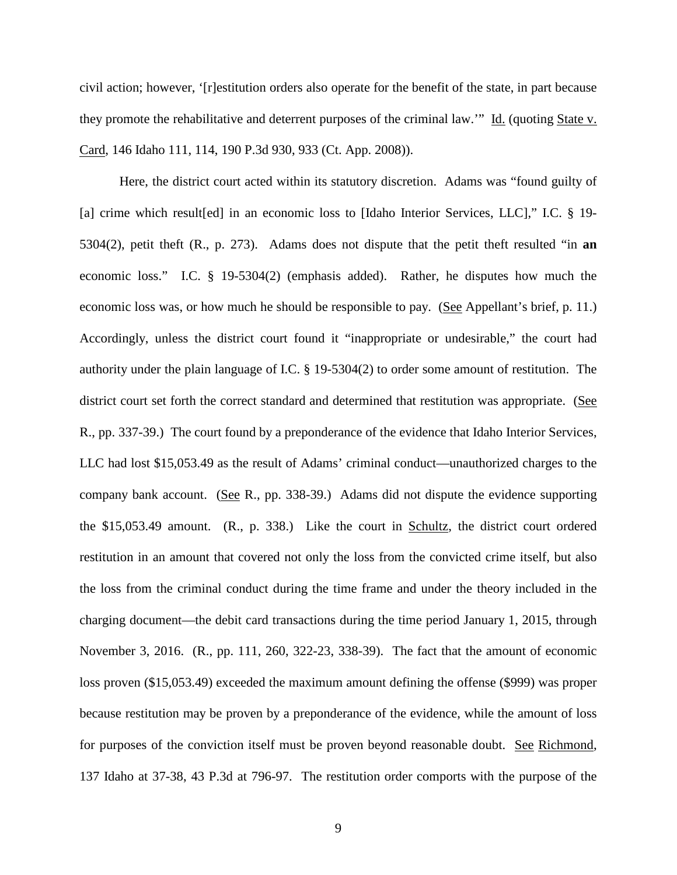civil action; however, '[r]estitution orders also operate for the benefit of the state, in part because they promote the rehabilitative and deterrent purposes of the criminal law.'" Id. (quoting State v. Card, 146 Idaho 111, 114, 190 P.3d 930, 933 (Ct. App. 2008)).

Here, the district court acted within its statutory discretion. Adams was "found guilty of [a] crime which result [ed] in an economic loss to [Idaho Interior Services, LLC]," I.C. § 19-5304(2), petit theft (R., p. 273). Adams does not dispute that the petit theft resulted "in **an** economic loss." I.C. § 19-5304(2) (emphasis added). Rather, he disputes how much the economic loss was, or how much he should be responsible to pay. (See Appellant's brief, p. 11.) Accordingly, unless the district court found it "inappropriate or undesirable," the court had authority under the plain language of I.C. § 19-5304(2) to order some amount of restitution. The district court set forth the correct standard and determined that restitution was appropriate. (See R., pp. 337-39.) The court found by a preponderance of the evidence that Idaho Interior Services, LLC had lost \$15,053.49 as the result of Adams' criminal conduct—unauthorized charges to the company bank account. (See R., pp. 338-39.) Adams did not dispute the evidence supporting the \$15,053.49 amount. (R., p. 338.) Like the court in Schultz, the district court ordered restitution in an amount that covered not only the loss from the convicted crime itself, but also the loss from the criminal conduct during the time frame and under the theory included in the charging document—the debit card transactions during the time period January 1, 2015, through November 3, 2016. (R., pp. 111, 260, 322-23, 338-39). The fact that the amount of economic loss proven (\$15,053.49) exceeded the maximum amount defining the offense (\$999) was proper because restitution may be proven by a preponderance of the evidence, while the amount of loss for purposes of the conviction itself must be proven beyond reasonable doubt. See Richmond, 137 Idaho at 37-38, 43 P.3d at 796-97. The restitution order comports with the purpose of the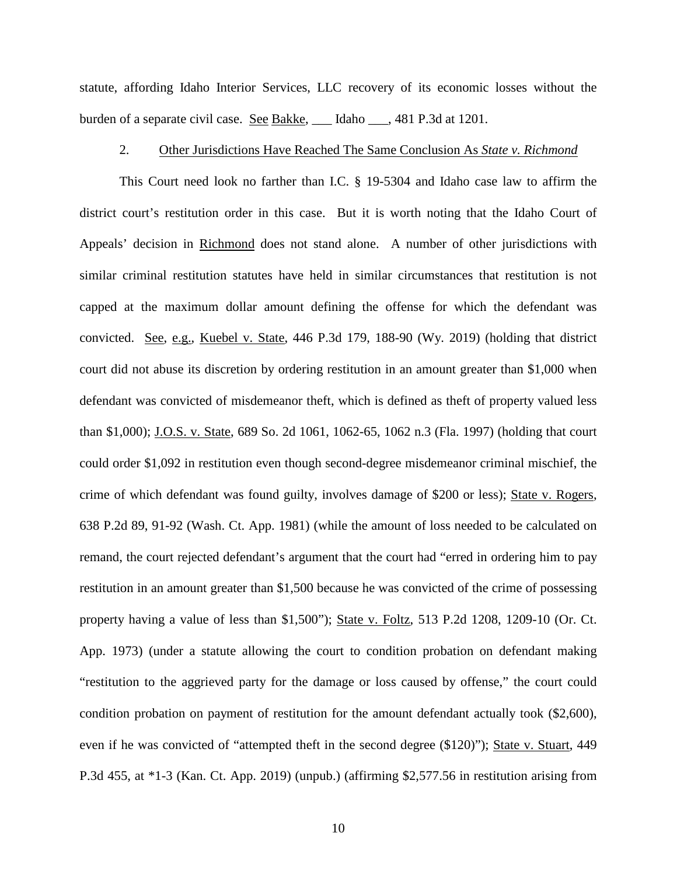statute, affording Idaho Interior Services, LLC recovery of its economic losses without the burden of a separate civil case. See Bakke, \_\_\_ Idaho \_\_\_, 481 P.3d at 1201.

#### 2. Other Jurisdictions Have Reached The Same Conclusion As *State v. Richmond*

This Court need look no farther than I.C. § 19-5304 and Idaho case law to affirm the district court's restitution order in this case. But it is worth noting that the Idaho Court of Appeals' decision in Richmond does not stand alone. A number of other jurisdictions with similar criminal restitution statutes have held in similar circumstances that restitution is not capped at the maximum dollar amount defining the offense for which the defendant was convicted. See, e.g., Kuebel v. State, 446 P.3d 179, 188-90 (Wy. 2019) (holding that district court did not abuse its discretion by ordering restitution in an amount greater than \$1,000 when defendant was convicted of misdemeanor theft, which is defined as theft of property valued less than \$1,000); J.O.S. v. State, 689 So. 2d 1061, 1062-65, 1062 n.3 (Fla. 1997) (holding that court could order \$1,092 in restitution even though second-degree misdemeanor criminal mischief, the crime of which defendant was found guilty, involves damage of \$200 or less); State v. Rogers, 638 P.2d 89, 91-92 (Wash. Ct. App. 1981) (while the amount of loss needed to be calculated on remand, the court rejected defendant's argument that the court had "erred in ordering him to pay restitution in an amount greater than \$1,500 because he was convicted of the crime of possessing property having a value of less than \$1,500"); State v. Foltz, 513 P.2d 1208, 1209-10 (Or. Ct. App. 1973) (under a statute allowing the court to condition probation on defendant making "restitution to the aggrieved party for the damage or loss caused by offense," the court could condition probation on payment of restitution for the amount defendant actually took (\$2,600), even if he was convicted of "attempted theft in the second degree (\$120)"); State v. Stuart, 449 P.3d 455, at \*1-3 (Kan. Ct. App. 2019) (unpub.) (affirming \$2,577.56 in restitution arising from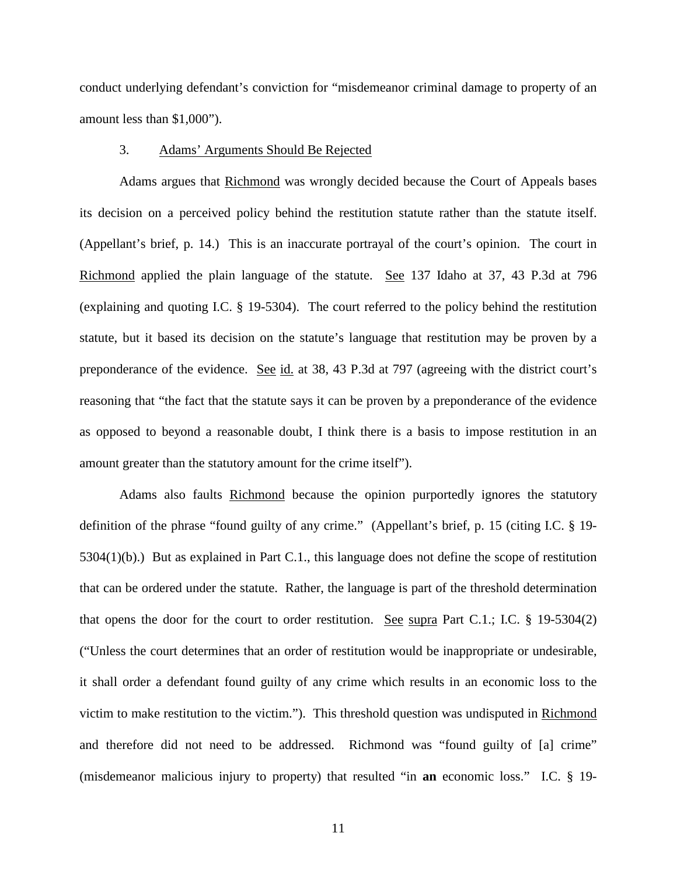conduct underlying defendant's conviction for "misdemeanor criminal damage to property of an amount less than \$1,000").

#### 3. Adams' Arguments Should Be Rejected

Adams argues that Richmond was wrongly decided because the Court of Appeals bases its decision on a perceived policy behind the restitution statute rather than the statute itself. (Appellant's brief, p. 14.) This is an inaccurate portrayal of the court's opinion. The court in Richmond applied the plain language of the statute. See 137 Idaho at 37, 43 P.3d at 796 (explaining and quoting I.C. § 19-5304). The court referred to the policy behind the restitution statute, but it based its decision on the statute's language that restitution may be proven by a preponderance of the evidence. See id. at 38, 43 P.3d at 797 (agreeing with the district court's reasoning that "the fact that the statute says it can be proven by a preponderance of the evidence as opposed to beyond a reasonable doubt, I think there is a basis to impose restitution in an amount greater than the statutory amount for the crime itself").

Adams also faults Richmond because the opinion purportedly ignores the statutory definition of the phrase "found guilty of any crime." (Appellant's brief, p. 15 (citing I.C. § 19- 5304(1)(b).) But as explained in Part C.1., this language does not define the scope of restitution that can be ordered under the statute. Rather, the language is part of the threshold determination that opens the door for the court to order restitution. See supra Part C.1.; I.C.  $\S$  19-5304(2) ("Unless the court determines that an order of restitution would be inappropriate or undesirable, it shall order a defendant found guilty of any crime which results in an economic loss to the victim to make restitution to the victim."). This threshold question was undisputed in Richmond and therefore did not need to be addressed. Richmond was "found guilty of [a] crime" (misdemeanor malicious injury to property) that resulted "in **an** economic loss." I.C. § 19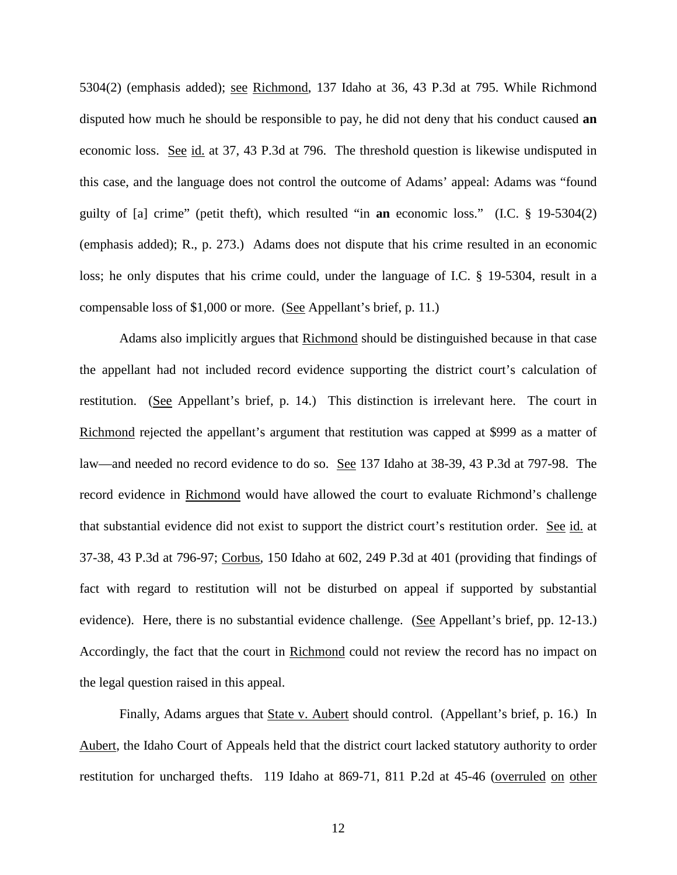5304(2) (emphasis added); see Richmond, 137 Idaho at 36, 43 P.3d at 795. While Richmond disputed how much he should be responsible to pay, he did not deny that his conduct caused **an** economic loss. See id. at 37, 43 P.3d at 796. The threshold question is likewise undisputed in this case, and the language does not control the outcome of Adams' appeal: Adams was "found guilty of [a] crime" (petit theft), which resulted "in **an** economic loss." (I.C. § 19-5304(2) (emphasis added); R., p. 273.) Adams does not dispute that his crime resulted in an economic loss; he only disputes that his crime could, under the language of I.C. § 19-5304, result in a compensable loss of \$1,000 or more. (See Appellant's brief, p. 11.)

Adams also implicitly argues that Richmond should be distinguished because in that case the appellant had not included record evidence supporting the district court's calculation of restitution. (See Appellant's brief, p. 14.) This distinction is irrelevant here. The court in Richmond rejected the appellant's argument that restitution was capped at \$999 as a matter of law—and needed no record evidence to do so. See 137 Idaho at 38-39, 43 P.3d at 797-98. The record evidence in Richmond would have allowed the court to evaluate Richmond's challenge that substantial evidence did not exist to support the district court's restitution order. See id. at 37-38, 43 P.3d at 796-97; Corbus, 150 Idaho at 602, 249 P.3d at 401 (providing that findings of fact with regard to restitution will not be disturbed on appeal if supported by substantial evidence). Here, there is no substantial evidence challenge. (See Appellant's brief, pp. 12-13.) Accordingly, the fact that the court in Richmond could not review the record has no impact on the legal question raised in this appeal.

Finally, Adams argues that **State v. Aubert should control.** (Appellant's brief, p. 16.) In Aubert, the Idaho Court of Appeals held that the district court lacked statutory authority to order restitution for uncharged thefts. 119 Idaho at 869-71, 811 P.2d at 45-46 (overruled on other